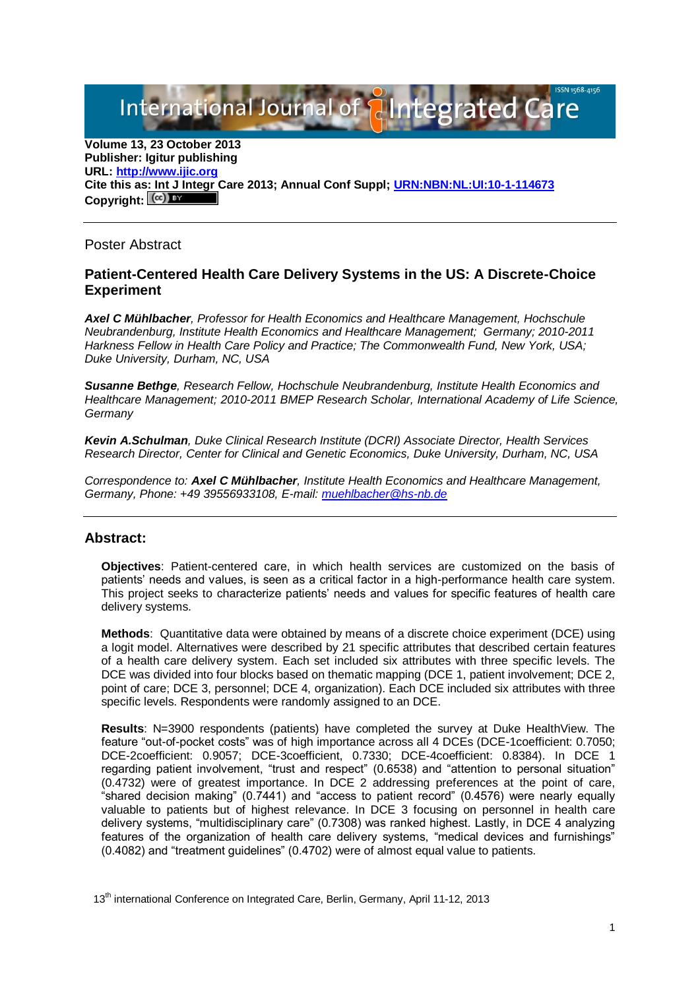International Journal of **Plntegrated** 

**Volume 13, 23 October 2013 Publisher: Igitur publishing URL[: http://www.ijic.org](http://www.ijic.org/) Cite this as: Int J Integr Care 2013; Annual Conf Suppl; [URN:NBN:NL:UI:10-1-114673](http://persistent-identifier.nl/?identifier=URN:NBN:NL:UI:10-1-114673)** Copyright:  $(cc)$ 

Poster Abstract

## **Patient-Centered Health Care Delivery Systems in the US: A Discrete-Choice Experiment**

*Axel C Mühlbacher, Professor for Health Economics and Healthcare Management, Hochschule Neubrandenburg, Institute Health Economics and Healthcare Management; Germany; 2010-2011 Harkness Fellow in Health Care Policy and Practice; The Commonwealth Fund, New York, USA; Duke University, Durham, NC, USA*

*Susanne Bethge, Research Fellow, Hochschule Neubrandenburg, Institute Health Economics and Healthcare Management; 2010-2011 BMEP Research Scholar, International Academy of Life Science, Germany*

*Kevin A.Schulman, Duke Clinical Research Institute (DCRI) Associate Director, Health Services Research Director, Center for Clinical and Genetic Economics, Duke University, Durham, NC, USA*

*Correspondence to: Axel C Mühlbacher, Institute Health Economics and Healthcare Management, Germany, Phone: +49 39556933108, E-mail: [muehlbacher@hs-nb.de](mailto:muehlbacher@hs-nb.de)*

## **Abstract:**

**Objectives**: Patient-centered care, in which health services are customized on the basis of patients' needs and values, is seen as a critical factor in a high-performance health care system. This project seeks to characterize patients' needs and values for specific features of health care delivery systems.

**Methods**: Quantitative data were obtained by means of a discrete choice experiment (DCE) using a logit model. Alternatives were described by 21 specific attributes that described certain features of a health care delivery system. Each set included six attributes with three specific levels. The DCE was divided into four blocks based on thematic mapping (DCE 1, patient involvement; DCE 2, point of care; DCE 3, personnel; DCE 4, organization). Each DCE included six attributes with three specific levels. Respondents were randomly assigned to an DCE.

**Results**: N=3900 respondents (patients) have completed the survey at Duke HealthView. The feature "out-of-pocket costs" was of high importance across all 4 DCEs (DCE-1coefficient: 0.7050; DCE-2coefficient: 0.9057; DCE-3coefficient, 0.7330; DCE-4coefficient: 0.8384). In DCE 1 regarding patient involvement, "trust and respect" (0.6538) and "attention to personal situation" (0.4732) were of greatest importance. In DCE 2 addressing preferences at the point of care, "shared decision making" (0.7441) and "access to patient record" (0.4576) were nearly equally valuable to patients but of highest relevance. In DCE 3 focusing on personnel in health care delivery systems, "multidisciplinary care" (0.7308) was ranked highest. Lastly, in DCE 4 analyzing features of the organization of health care delivery systems, "medical devices and furnishings" (0.4082) and "treatment guidelines" (0.4702) were of almost equal value to patients.